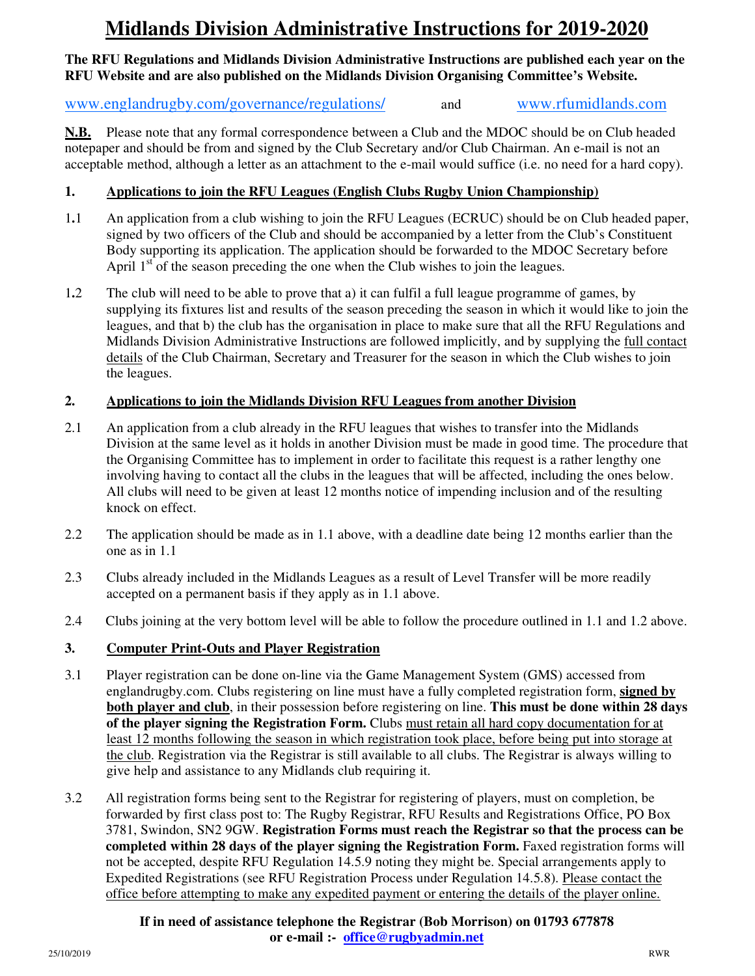# **Midlands Division Administrative Instructions for 2019-2020**

### **The RFU Regulations and Midlands Division Administrative Instructions are published each year on the RFU Website and are also published on the Midlands Division Organising Committee's Website.**

# www.englandrugby.com/governance/regulations/and www.rfumidlands.com

**N.B.** Please note that any formal correspondence between a Club and the MDOC should be on Club headed notepaper and should be from and signed by the Club Secretary and/or Club Chairman. An e-mail is not an acceptable method, although a letter as an attachment to the e-mail would suffice (i.e. no need for a hard copy).

# **1. Applications to join the RFU Leagues (English Clubs Rugby Union Championship)**

- 1**.**1 An application from a club wishing to join the RFU Leagues (ECRUC) should be on Club headed paper, signed by two officers of the Club and should be accompanied by a letter from the Club's Constituent Body supporting its application. The application should be forwarded to the MDOC Secretary before April  $1<sup>st</sup>$  of the season preceding the one when the Club wishes to join the leagues.
- 1**.**2 The club will need to be able to prove that a) it can fulfil a full league programme of games, by supplying its fixtures list and results of the season preceding the season in which it would like to join the leagues, and that b) the club has the organisation in place to make sure that all the RFU Regulations and Midlands Division Administrative Instructions are followed implicitly, and by supplying the full contact details of the Club Chairman, Secretary and Treasurer for the season in which the Club wishes to join the leagues.

# **2. Applications to join the Midlands Division RFU Leagues from another Division**

- 2.1 An application from a club already in the RFU leagues that wishes to transfer into the Midlands Division at the same level as it holds in another Division must be made in good time. The procedure that the Organising Committee has to implement in order to facilitate this request is a rather lengthy one involving having to contact all the clubs in the leagues that will be affected, including the ones below. All clubs will need to be given at least 12 months notice of impending inclusion and of the resulting knock on effect.
- 2.2 The application should be made as in 1.1 above, with a deadline date being 12 months earlier than the one as in 1.1
- 2.3 Clubs already included in the Midlands Leagues as a result of Level Transfer will be more readily accepted on a permanent basis if they apply as in 1.1 above.
- 2.4 Clubs joining at the very bottom level will be able to follow the procedure outlined in 1.1 and 1.2 above.

# **3. Computer Print-Outs and Player Registration**

- 3.1 Player registration can be done on-line via the Game Management System (GMS) accessed from englandrugby.com. Clubs registering on line must have a fully completed registration form, **signed by both player and club**, in their possession before registering on line. **This must be done within 28 days of the player signing the Registration Form.** Clubs must retain all hard copy documentation for at least 12 months following the season in which registration took place, before being put into storage at the club. Registration via the Registrar is still available to all clubs. The Registrar is always willing to give help and assistance to any Midlands club requiring it.
- 3.2 All registration forms being sent to the Registrar for registering of players, must on completion, be forwarded by first class post to: The Rugby Registrar, RFU Results and Registrations Office, PO Box 3781, Swindon, SN2 9GW. **Registration Forms must reach the Registrar so that the process can be completed within 28 days of the player signing the Registration Form.** Faxed registration forms will not be accepted, despite RFU Regulation 14.5.9 noting they might be. Special arrangements apply to Expedited Registrations (see RFU Registration Process under Regulation 14.5.8). Please contact the office before attempting to make any expedited payment or entering the details of the player online.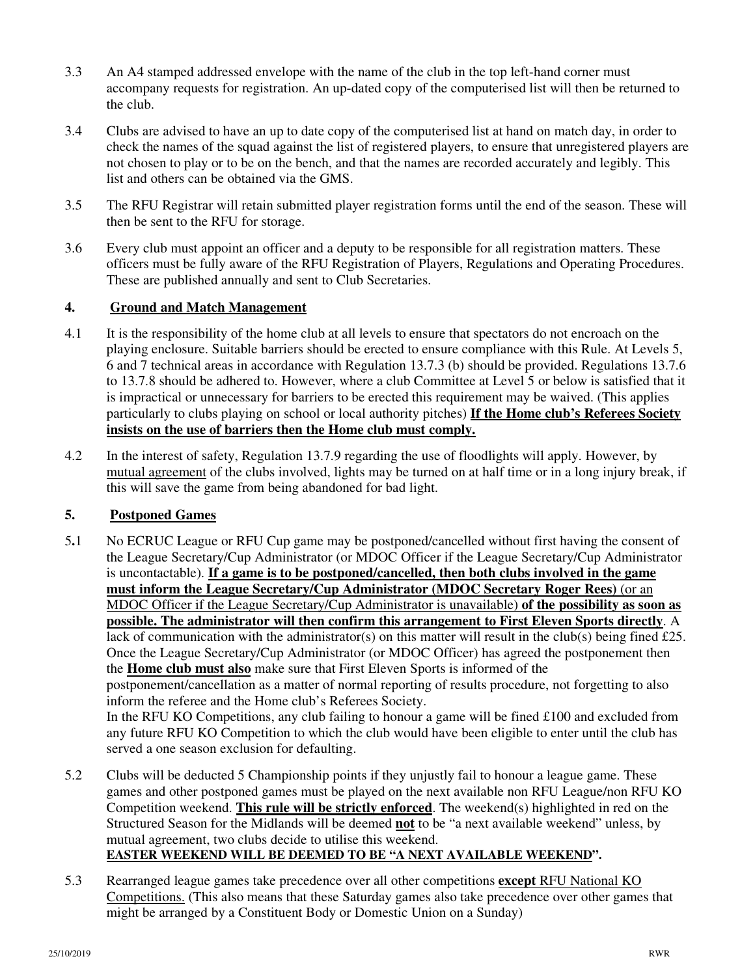- 3.3 An A4 stamped addressed envelope with the name of the club in the top left-hand corner must accompany requests for registration. An up-dated copy of the computerised list will then be returned to the club.
- 3.4 Clubs are advised to have an up to date copy of the computerised list at hand on match day, in order to check the names of the squad against the list of registered players, to ensure that unregistered players are not chosen to play or to be on the bench, and that the names are recorded accurately and legibly. This list and others can be obtained via the GMS.
- 3.5 The RFU Registrar will retain submitted player registration forms until the end of the season. These will then be sent to the RFU for storage.
- 3.6 Every club must appoint an officer and a deputy to be responsible for all registration matters. These officers must be fully aware of the RFU Registration of Players, Regulations and Operating Procedures. These are published annually and sent to Club Secretaries.

#### **4. Ground and Match Management**

- 4.1 It is the responsibility of the home club at all levels to ensure that spectators do not encroach on the playing enclosure. Suitable barriers should be erected to ensure compliance with this Rule. At Levels 5, 6 and 7 technical areas in accordance with Regulation 13.7.3 (b) should be provided. Regulations 13.7.6 to 13.7.8 should be adhered to. However, where a club Committee at Level 5 or below is satisfied that it is impractical or unnecessary for barriers to be erected this requirement may be waived. (This applies particularly to clubs playing on school or local authority pitches) **If the Home club's Referees Society insists on the use of barriers then the Home club must comply.**
- 4.2 In the interest of safety, Regulation 13.7.9 regarding the use of floodlights will apply. However, by mutual agreement of the clubs involved, lights may be turned on at half time or in a long injury break, if this will save the game from being abandoned for bad light.

# **5. Postponed Games**

- 5**.**1 No ECRUC League or RFU Cup game may be postponed/cancelled without first having the consent of the League Secretary/Cup Administrator (or MDOC Officer if the League Secretary/Cup Administrator is uncontactable). **If a game is to be postponed/cancelled, then both clubs involved in the game must inform the League Secretary/Cup Administrator (MDOC Secretary Roger Rees)** (or an MDOC Officer if the League Secretary/Cup Administrator is unavailable) **of the possibility as soon as possible. The administrator will then confirm this arrangement to First Eleven Sports directly**. A lack of communication with the administrator(s) on this matter will result in the club(s) being fined £25. Once the League Secretary/Cup Administrator (or MDOC Officer) has agreed the postponement then the **Home club must also** make sure that First Eleven Sports is informed of the postponement/cancellation as a matter of normal reporting of results procedure, not forgetting to also inform the referee and the Home club's Referees Society. In the RFU KO Competitions, any club failing to honour a game will be fined £100 and excluded from any future RFU KO Competition to which the club would have been eligible to enter until the club has served a one season exclusion for defaulting.
- 5.2 Clubs will be deducted 5 Championship points if they unjustly fail to honour a league game. These games and other postponed games must be played on the next available non RFU League/non RFU KO Competition weekend. **This rule will be strictly enforced**. The weekend(s) highlighted in red on the Structured Season for the Midlands will be deemed **not** to be "a next available weekend" unless, by mutual agreement, two clubs decide to utilise this weekend. **EASTER WEEKEND WILL BE DEEMED TO BE "A NEXT AVAILABLE WEEKEND".**
- 5.3 Rearranged league games take precedence over all other competitions **except** RFU National KO Competitions. (This also means that these Saturday games also take precedence over other games that might be arranged by a Constituent Body or Domestic Union on a Sunday)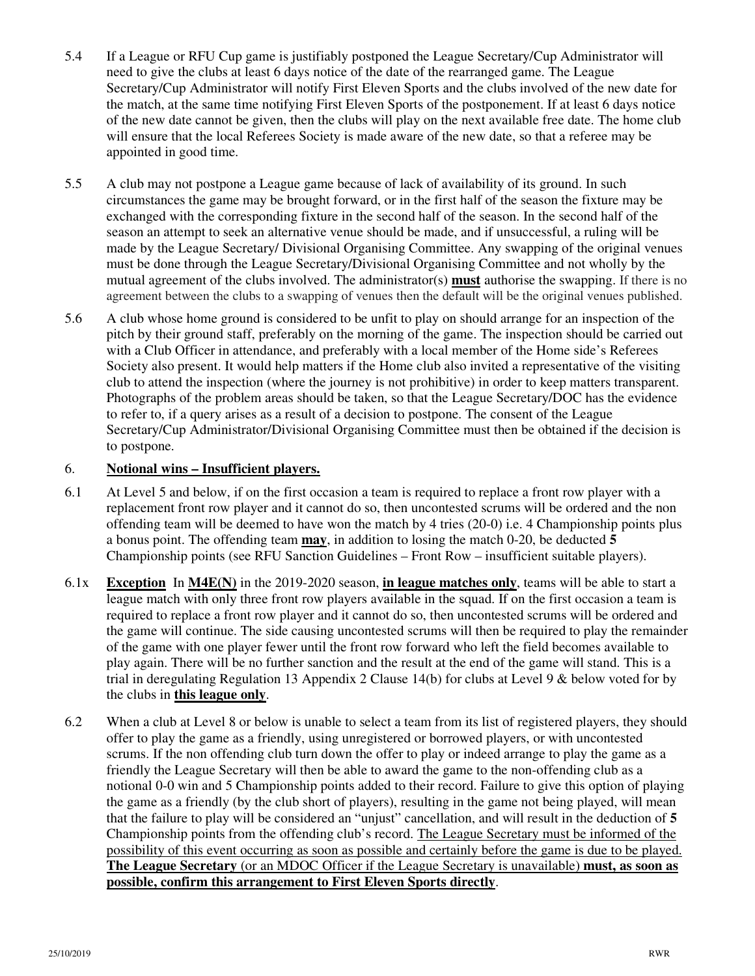- 5.4 If a League or RFU Cup game is justifiably postponed the League Secretary/Cup Administrator will need to give the clubs at least 6 days notice of the date of the rearranged game. The League Secretary/Cup Administrator will notify First Eleven Sports and the clubs involved of the new date for the match, at the same time notifying First Eleven Sports of the postponement. If at least 6 days notice of the new date cannot be given, then the clubs will play on the next available free date. The home club will ensure that the local Referees Society is made aware of the new date, so that a referee may be appointed in good time.
- 5.5 A club may not postpone a League game because of lack of availability of its ground. In such circumstances the game may be brought forward, or in the first half of the season the fixture may be exchanged with the corresponding fixture in the second half of the season. In the second half of the season an attempt to seek an alternative venue should be made, and if unsuccessful, a ruling will be made by the League Secretary/ Divisional Organising Committee. Any swapping of the original venues must be done through the League Secretary/Divisional Organising Committee and not wholly by the mutual agreement of the clubs involved. The administrator(s) **must** authorise the swapping. If there is no agreement between the clubs to a swapping of venues then the default will be the original venues published.
- 5.6 A club whose home ground is considered to be unfit to play on should arrange for an inspection of the pitch by their ground staff, preferably on the morning of the game. The inspection should be carried out with a Club Officer in attendance, and preferably with a local member of the Home side's Referees Society also present. It would help matters if the Home club also invited a representative of the visiting club to attend the inspection (where the journey is not prohibitive) in order to keep matters transparent. Photographs of the problem areas should be taken, so that the League Secretary/DOC has the evidence to refer to, if a query arises as a result of a decision to postpone. The consent of the League Secretary/Cup Administrator/Divisional Organising Committee must then be obtained if the decision is to postpone.

# 6. **Notional wins – Insufficient players.**

- 6.1 At Level 5 and below, if on the first occasion a team is required to replace a front row player with a replacement front row player and it cannot do so, then uncontested scrums will be ordered and the non offending team will be deemed to have won the match by 4 tries (20-0) i.e. 4 Championship points plus a bonus point. The offending team **may**, in addition to losing the match 0-20, be deducted **5**  Championship points (see RFU Sanction Guidelines – Front Row – insufficient suitable players).
- 6.1x **Exception** In **M4E(N)** in the 2019-2020 season, **in league matches only**, teams will be able to start a league match with only three front row players available in the squad. If on the first occasion a team is required to replace a front row player and it cannot do so, then uncontested scrums will be ordered and the game will continue. The side causing uncontested scrums will then be required to play the remainder of the game with one player fewer until the front row forward who left the field becomes available to play again. There will be no further sanction and the result at the end of the game will stand. This is a trial in deregulating Regulation 13 Appendix 2 Clause 14(b) for clubs at Level 9 & below voted for by the clubs in **this league only**.
- 6.2 When a club at Level 8 or below is unable to select a team from its list of registered players, they should offer to play the game as a friendly, using unregistered or borrowed players, or with uncontested scrums. If the non offending club turn down the offer to play or indeed arrange to play the game as a friendly the League Secretary will then be able to award the game to the non-offending club as a notional 0-0 win and 5 Championship points added to their record. Failure to give this option of playing the game as a friendly (by the club short of players), resulting in the game not being played, will mean that the failure to play will be considered an "unjust" cancellation, and will result in the deduction of **5** Championship points from the offending club's record. The League Secretary must be informed of the possibility of this event occurring as soon as possible and certainly before the game is due to be played. **The League Secretary** (or an MDOC Officer if the League Secretary is unavailable) **must, as soon as possible, confirm this arrangement to First Eleven Sports directly**.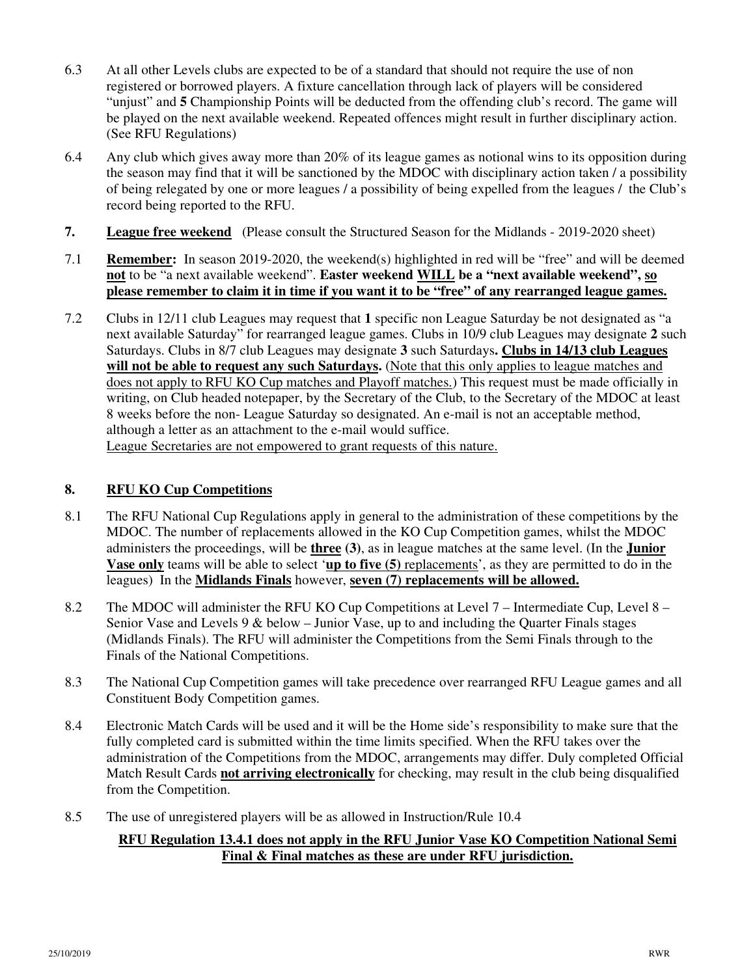- 6.3 At all other Levels clubs are expected to be of a standard that should not require the use of non registered or borrowed players. A fixture cancellation through lack of players will be considered "unjust" and **5** Championship Points will be deducted from the offending club's record. The game will be played on the next available weekend. Repeated offences might result in further disciplinary action. (See RFU Regulations)
- 6.4 Any club which gives away more than 20% of its league games as notional wins to its opposition during the season may find that it will be sanctioned by the MDOC with disciplinary action taken / a possibility of being relegated by one or more leagues / a possibility of being expelled from the leagues / the Club's record being reported to the RFU.
- **7. League free weekend** (Please consult the Structured Season for the Midlands 2019-2020 sheet)
- 7.1 **Remember:** In season 2019-2020, the weekend(s) highlighted in red will be "free" and will be deemed **not** to be "a next available weekend". **Easter weekend WILL be a "next available weekend", so please remember to claim it in time if you want it to be "free" of any rearranged league games.**
- 7.2 Clubs in 12/11 club Leagues may request that **1** specific non League Saturday be not designated as "a next available Saturday" for rearranged league games. Clubs in 10/9 club Leagues may designate **2** such Saturdays. Clubs in 8/7 club Leagues may designate **3** such Saturdays**. Clubs in 14/13 club Leagues**  will not be able to request any such Saturdays. (Note that this only applies to league matches and does not apply to RFU KO Cup matches and Playoff matches.) This request must be made officially in writing, on Club headed notepaper, by the Secretary of the Club, to the Secretary of the MDOC at least 8 weeks before the non- League Saturday so designated. An e-mail is not an acceptable method, although a letter as an attachment to the e-mail would suffice. League Secretaries are not empowered to grant requests of this nature.

# **8. RFU KO Cup Competitions**

- 8.1 The RFU National Cup Regulations apply in general to the administration of these competitions by the MDOC. The number of replacements allowed in the KO Cup Competition games, whilst the MDOC administers the proceedings, will be **three (3)**, as in league matches at the same level. (In the **Junior Vase only** teams will be able to select '**up to five (5)** replacements', as they are permitted to do in the leagues) In the **Midlands Finals** however, **seven (7) replacements will be allowed.**
- 8.2 The MDOC will administer the RFU KO Cup Competitions at Level 7 Intermediate Cup, Level 8 Senior Vase and Levels 9 & below – Junior Vase, up to and including the Quarter Finals stages (Midlands Finals). The RFU will administer the Competitions from the Semi Finals through to the Finals of the National Competitions.
- 8.3 The National Cup Competition games will take precedence over rearranged RFU League games and all Constituent Body Competition games.
- 8.4 Electronic Match Cards will be used and it will be the Home side's responsibility to make sure that the fully completed card is submitted within the time limits specified. When the RFU takes over the administration of the Competitions from the MDOC, arrangements may differ. Duly completed Official Match Result Cards **not arriving electronically** for checking, may result in the club being disqualified from the Competition.
- 8.5 The use of unregistered players will be as allowed in Instruction/Rule 10.4

# **RFU Regulation 13.4.1 does not apply in the RFU Junior Vase KO Competition National Semi Final & Final matches as these are under RFU jurisdiction.**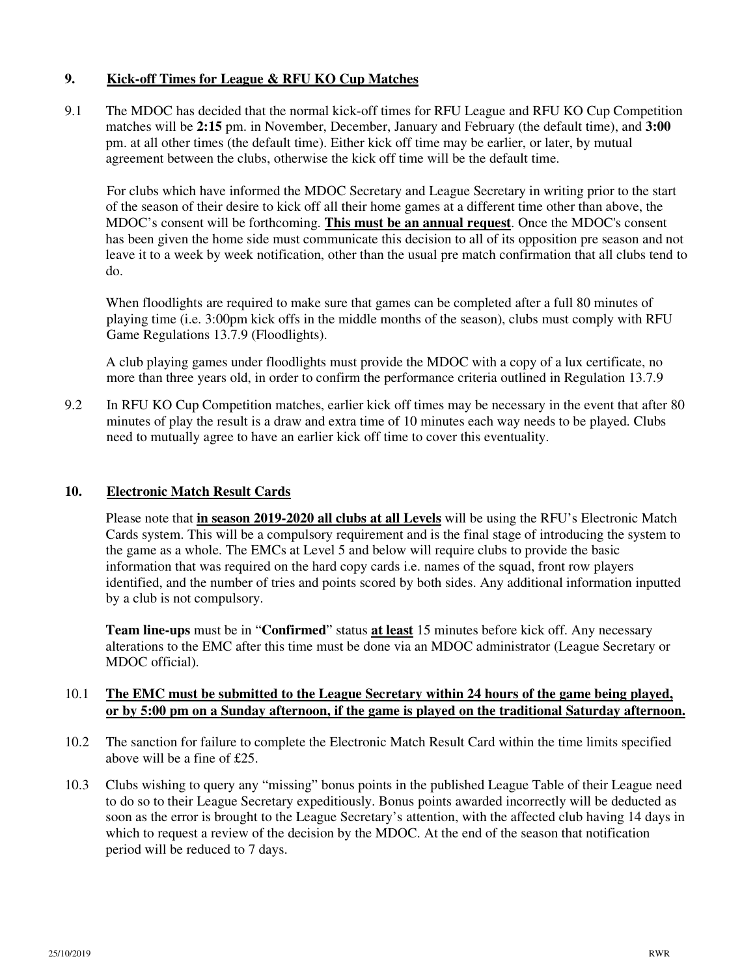#### **9. Kick-off Times for League & RFU KO Cup Matches**

9.1 The MDOC has decided that the normal kick-off times for RFU League and RFU KO Cup Competition matches will be **2:15** pm. in November, December, January and February (the default time), and **3:00** pm. at all other times (the default time). Either kick off time may be earlier, or later, by mutual agreement between the clubs, otherwise the kick off time will be the default time.

 For clubs which have informed the MDOC Secretary and League Secretary in writing prior to the start of the season of their desire to kick off all their home games at a different time other than above, the MDOC's consent will be forthcoming. **This must be an annual request**. Once the MDOC's consent has been given the home side must communicate this decision to all of its opposition pre season and not leave it to a week by week notification, other than the usual pre match confirmation that all clubs tend to do.

When floodlights are required to make sure that games can be completed after a full 80 minutes of playing time (i.e. 3:00pm kick offs in the middle months of the season), clubs must comply with RFU Game Regulations 13.7.9 (Floodlights).

A club playing games under floodlights must provide the MDOC with a copy of a lux certificate, no more than three years old, in order to confirm the performance criteria outlined in Regulation 13.7.9

9.2 In RFU KO Cup Competition matches, earlier kick off times may be necessary in the event that after 80 minutes of play the result is a draw and extra time of 10 minutes each way needs to be played. Clubs need to mutually agree to have an earlier kick off time to cover this eventuality.

#### **10. Electronic Match Result Cards**

 Please note that **in season 2019-2020 all clubs at all Levels** will be using the RFU's Electronic Match Cards system. This will be a compulsory requirement and is the final stage of introducing the system to the game as a whole. The EMCs at Level 5 and below will require clubs to provide the basic information that was required on the hard copy cards i.e. names of the squad, front row players identified, and the number of tries and points scored by both sides. Any additional information inputted by a club is not compulsory.

**Team line-ups** must be in "**Confirmed**" status **at least** 15 minutes before kick off. Any necessary alterations to the EMC after this time must be done via an MDOC administrator (League Secretary or MDOC official).

#### 10.1 **The EMC must be submitted to the League Secretary within 24 hours of the game being played, or by 5:00 pm on a Sunday afternoon, if the game is played on the traditional Saturday afternoon.**

- 10.2 The sanction for failure to complete the Electronic Match Result Card within the time limits specified above will be a fine of £25.
- 10.3 Clubs wishing to query any "missing" bonus points in the published League Table of their League need to do so to their League Secretary expeditiously. Bonus points awarded incorrectly will be deducted as soon as the error is brought to the League Secretary's attention, with the affected club having 14 days in which to request a review of the decision by the MDOC. At the end of the season that notification period will be reduced to 7 days.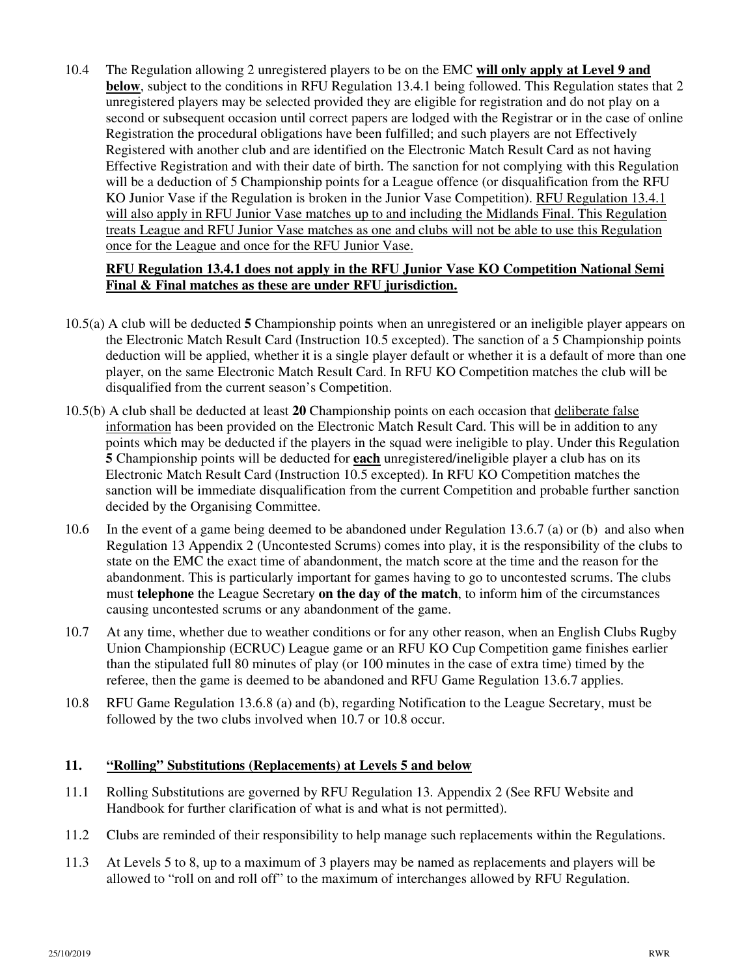10.4 The Regulation allowing 2 unregistered players to be on the EMC **will only apply at Level 9 and below**, subject to the conditions in RFU Regulation 13.4.1 being followed. This Regulation states that 2 unregistered players may be selected provided they are eligible for registration and do not play on a second or subsequent occasion until correct papers are lodged with the Registrar or in the case of online Registration the procedural obligations have been fulfilled; and such players are not Effectively Registered with another club and are identified on the Electronic Match Result Card as not having Effective Registration and with their date of birth. The sanction for not complying with this Regulation will be a deduction of 5 Championship points for a League offence (or disqualification from the RFU KO Junior Vase if the Regulation is broken in the Junior Vase Competition). RFU Regulation 13.4.1 will also apply in RFU Junior Vase matches up to and including the Midlands Final. This Regulation treats League and RFU Junior Vase matches as one and clubs will not be able to use this Regulation once for the League and once for the RFU Junior Vase.

#### **RFU Regulation 13.4.1 does not apply in the RFU Junior Vase KO Competition National Semi Final & Final matches as these are under RFU jurisdiction.**

- 10.5(a) A club will be deducted **5** Championship points when an unregistered or an ineligible player appears on the Electronic Match Result Card (Instruction 10.5 excepted). The sanction of a 5 Championship points deduction will be applied, whether it is a single player default or whether it is a default of more than one player, on the same Electronic Match Result Card. In RFU KO Competition matches the club will be disqualified from the current season's Competition.
- 10.5(b) A club shall be deducted at least **20** Championship points on each occasion that deliberate false information has been provided on the Electronic Match Result Card. This will be in addition to any points which may be deducted if the players in the squad were ineligible to play. Under this Regulation **5** Championship points will be deducted for **each** unregistered/ineligible player a club has on its Electronic Match Result Card (Instruction 10.5 excepted). In RFU KO Competition matches the sanction will be immediate disqualification from the current Competition and probable further sanction decided by the Organising Committee.
- 10.6 In the event of a game being deemed to be abandoned under Regulation 13.6.7 (a) or (b) and also when Regulation 13 Appendix 2 (Uncontested Scrums) comes into play, it is the responsibility of the clubs to state on the EMC the exact time of abandonment, the match score at the time and the reason for the abandonment. This is particularly important for games having to go to uncontested scrums. The clubs must **telephone** the League Secretary **on the day of the match**, to inform him of the circumstances causing uncontested scrums or any abandonment of the game.
- 10.7 At any time, whether due to weather conditions or for any other reason, when an English Clubs Rugby Union Championship (ECRUC) League game or an RFU KO Cup Competition game finishes earlier than the stipulated full 80 minutes of play (or 100 minutes in the case of extra time) timed by the referee, then the game is deemed to be abandoned and RFU Game Regulation 13.6.7 applies.
- 10.8 RFU Game Regulation 13.6.8 (a) and (b), regarding Notification to the League Secretary, must be followed by the two clubs involved when 10.7 or 10.8 occur.

# **11. "Rolling" Substitutions (Replacements) at Levels 5 and below**

- 11.1 Rolling Substitutions are governed by RFU Regulation 13. Appendix 2 (See RFU Website and Handbook for further clarification of what is and what is not permitted).
- 11.2 Clubs are reminded of their responsibility to help manage such replacements within the Regulations.
- 11.3 At Levels 5 to 8, up to a maximum of 3 players may be named as replacements and players will be allowed to "roll on and roll off" to the maximum of interchanges allowed by RFU Regulation.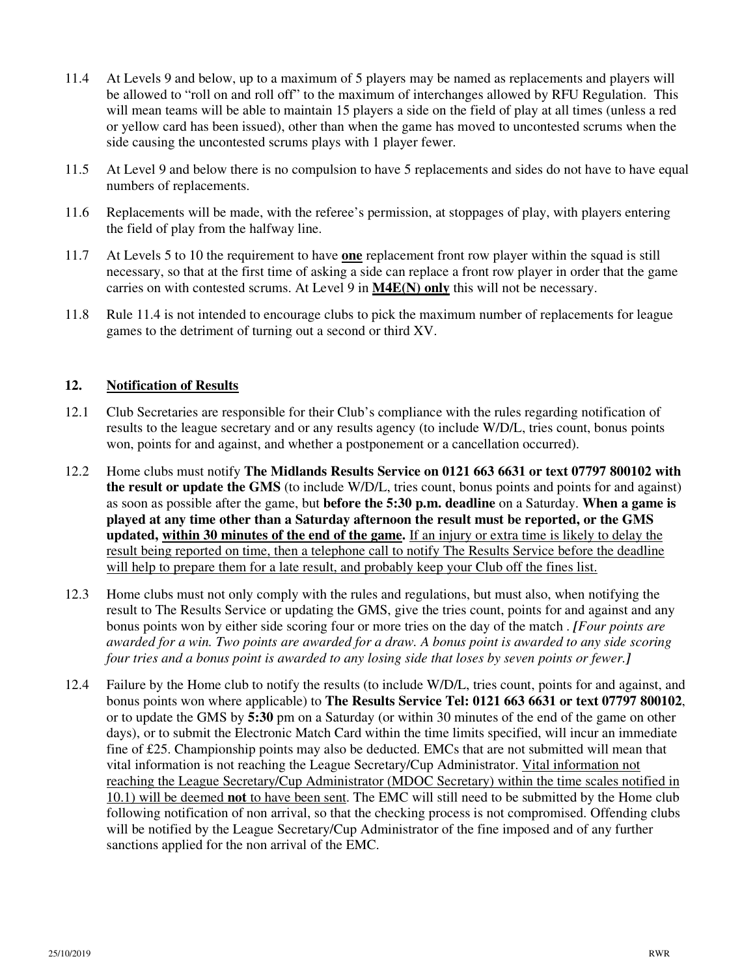- 11.4 At Levels 9 and below, up to a maximum of 5 players may be named as replacements and players will be allowed to "roll on and roll off" to the maximum of interchanges allowed by RFU Regulation. This will mean teams will be able to maintain 15 players a side on the field of play at all times (unless a red or yellow card has been issued), other than when the game has moved to uncontested scrums when the side causing the uncontested scrums plays with 1 player fewer.
- 11.5 At Level 9 and below there is no compulsion to have 5 replacements and sides do not have to have equal numbers of replacements.
- 11.6 Replacements will be made, with the referee's permission, at stoppages of play, with players entering the field of play from the halfway line.
- 11.7 At Levels 5 to 10 the requirement to have **one** replacement front row player within the squad is still necessary, so that at the first time of asking a side can replace a front row player in order that the game carries on with contested scrums. At Level 9 in **M4E(N) only** this will not be necessary.
- 11.8 Rule 11.4 is not intended to encourage clubs to pick the maximum number of replacements for league games to the detriment of turning out a second or third XV.

#### **12. Notification of Results**

- 12.1 Club Secretaries are responsible for their Club's compliance with the rules regarding notification of results to the league secretary and or any results agency (to include W/D/L, tries count, bonus points won, points for and against, and whether a postponement or a cancellation occurred).
- 12.2 Home clubs must notify **The Midlands Results Service on 0121 663 6631 or text 07797 800102 with the result or update the GMS** (to include W/D/L, tries count, bonus points and points for and against) as soon as possible after the game, but **before the 5:30 p.m. deadline** on a Saturday. **When a game is played at any time other than a Saturday afternoon the result must be reported, or the GMS updated, within 30 minutes of the end of the game.** If an injury or extra time is likely to delay the result being reported on time, then a telephone call to notify The Results Service before the deadline will help to prepare them for a late result, and probably keep your Club off the fines list.
- 12.3 Home clubs must not only comply with the rules and regulations, but must also, when notifying the result to The Results Service or updating the GMS, give the tries count, points for and against and any bonus points won by either side scoring four or more tries on the day of the match . *[Four points are awarded for a win. Two points are awarded for a draw. A bonus point is awarded to any side scoring four tries and a bonus point is awarded to any losing side that loses by seven points or fewer.]*
- 12.4 Failure by the Home club to notify the results (to include W/D/L, tries count, points for and against, and bonus points won where applicable) to **The Results Service Tel: 0121 663 6631 or text 07797 800102**, or to update the GMS by **5:30** pm on a Saturday (or within 30 minutes of the end of the game on other days), or to submit the Electronic Match Card within the time limits specified, will incur an immediate fine of £25. Championship points may also be deducted. EMCs that are not submitted will mean that vital information is not reaching the League Secretary/Cup Administrator. Vital information not reaching the League Secretary/Cup Administrator (MDOC Secretary) within the time scales notified in 10.1) will be deemed **not** to have been sent. The EMC will still need to be submitted by the Home club following notification of non arrival, so that the checking process is not compromised. Offending clubs will be notified by the League Secretary/Cup Administrator of the fine imposed and of any further sanctions applied for the non arrival of the EMC.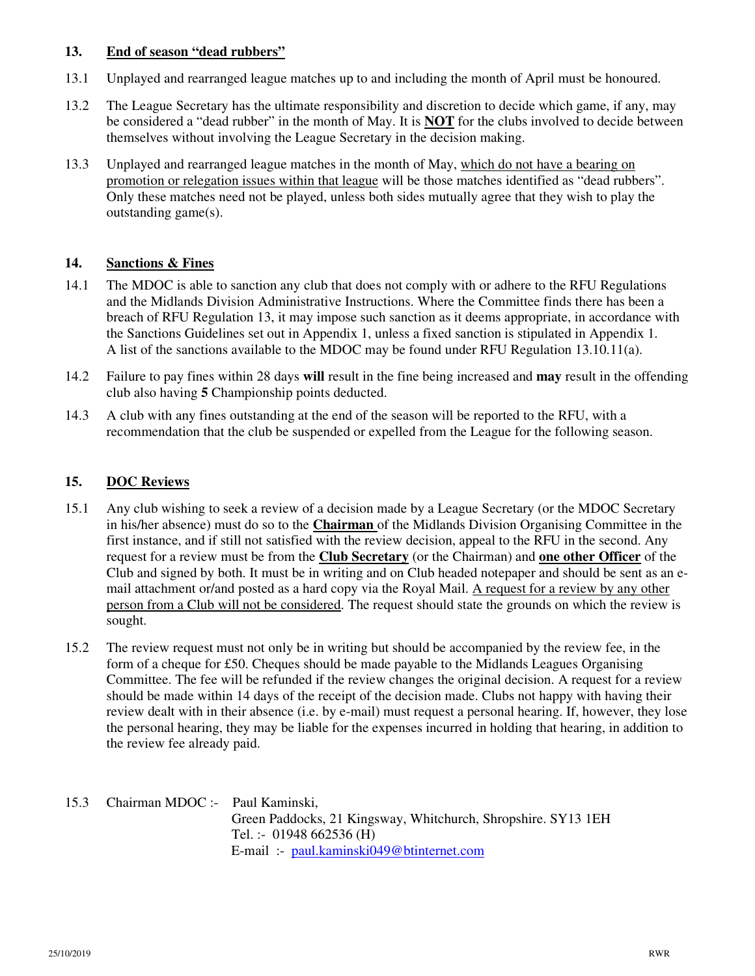#### **13. End of season "dead rubbers"**

- 13.1 Unplayed and rearranged league matches up to and including the month of April must be honoured.
- 13.2 The League Secretary has the ultimate responsibility and discretion to decide which game, if any, may be considered a "dead rubber" in the month of May. It is **NOT** for the clubs involved to decide between themselves without involving the League Secretary in the decision making.
- 13.3 Unplayed and rearranged league matches in the month of May, which do not have a bearing on promotion or relegation issues within that league will be those matches identified as "dead rubbers". Only these matches need not be played, unless both sides mutually agree that they wish to play the outstanding game(s).

# **14. Sanctions & Fines**

- 14.1 The MDOC is able to sanction any club that does not comply with or adhere to the RFU Regulations and the Midlands Division Administrative Instructions. Where the Committee finds there has been a breach of RFU Regulation 13, it may impose such sanction as it deems appropriate, in accordance with the Sanctions Guidelines set out in Appendix 1, unless a fixed sanction is stipulated in Appendix 1. A list of the sanctions available to the MDOC may be found under RFU Regulation 13.10.11(a).
- 14.2 Failure to pay fines within 28 days **will** result in the fine being increased and **may** result in the offending club also having **5** Championship points deducted.
- 14.3 A club with any fines outstanding at the end of the season will be reported to the RFU, with a recommendation that the club be suspended or expelled from the League for the following season.

# **15. DOC Reviews**

- 15.1 Any club wishing to seek a review of a decision made by a League Secretary (or the MDOC Secretary in his/her absence) must do so to the **Chairman** of the Midlands Division Organising Committee in the first instance, and if still not satisfied with the review decision, appeal to the RFU in the second. Any request for a review must be from the **Club Secretary** (or the Chairman) and **one other Officer** of the Club and signed by both. It must be in writing and on Club headed notepaper and should be sent as an email attachment or/and posted as a hard copy via the Royal Mail. A request for a review by any other person from a Club will not be considered. The request should state the grounds on which the review is sought.
- 15.2 The review request must not only be in writing but should be accompanied by the review fee, in the form of a cheque for £50. Cheques should be made payable to the Midlands Leagues Organising Committee. The fee will be refunded if the review changes the original decision. A request for a review should be made within 14 days of the receipt of the decision made. Clubs not happy with having their review dealt with in their absence (i.e. by e-mail) must request a personal hearing. If, however, they lose the personal hearing, they may be liable for the expenses incurred in holding that hearing, in addition to the review fee already paid.
- 15.3 Chairman MDOC :- Paul Kaminski, Green Paddocks, 21 Kingsway, Whitchurch, Shropshire. SY13 1EH Tel. :- 01948 662536 (H) E-mail :- paul.kaminski049@btinternet.com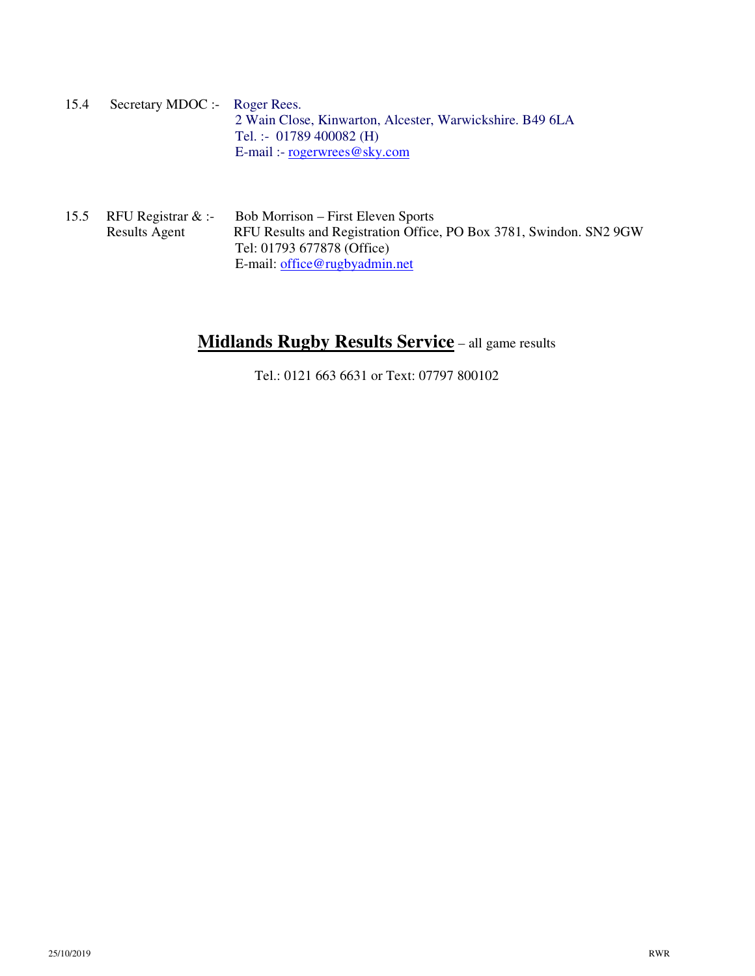15.4 Secretary MDOC :- Roger Rees. 2 Wain Close, Kinwarton, Alcester, Warwickshire. B49 6LA Tel. :- 01789 400082 (H) E-mail :- rogerwrees@sky.com

15.5 RFU Registrar & :- Bob Morrison – First Eleven Sports Results Agent RFU Results and Registration Office, PO Box 3781, Swindon. SN2 9GW Tel: 01793 677878 (Office) E-mail: office@rugbyadmin.net

# **Midlands Rugby Results Service** – all game results

Tel.: 0121 663 6631 or Text: 07797 800102